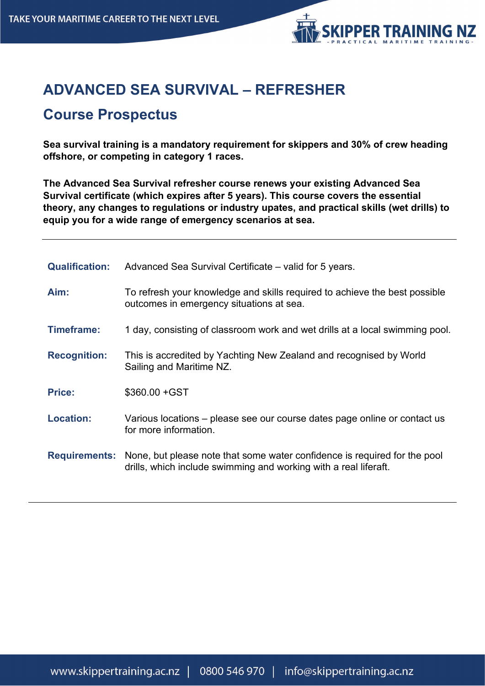

# **ADVANCED SEA SURVIVAL – REFRESHER**

## **Course Prospectus**

**Sea survival training is a mandatory requirement for skippers and 30% of crew heading offshore, or competing in category 1 races.**

**The Advanced Sea Survival refresher course renews your existing Advanced Sea Survival certificate (which expires after 5 years). This course covers the essential theory, any changes to regulations or industry upates, and practical skills (wet drills) to equip you for a wide range of emergency scenarios at sea.**

| <b>Qualification:</b> | Advanced Sea Survival Certificate – valid for 5 years.                                                                                                             |
|-----------------------|--------------------------------------------------------------------------------------------------------------------------------------------------------------------|
| Aim:                  | To refresh your knowledge and skills required to achieve the best possible<br>outcomes in emergency situations at sea.                                             |
| Timeframe:            | 1 day, consisting of classroom work and wet drills at a local swimming pool.                                                                                       |
| <b>Recognition:</b>   | This is accredited by Yachting New Zealand and recognised by World<br>Sailing and Maritime NZ.                                                                     |
| <b>Price:</b>         | $$360.00 + GST$                                                                                                                                                    |
| <b>Location:</b>      | Various locations – please see our course dates page online or contact us<br>for more information.                                                                 |
|                       | <b>Requirements:</b> None, but please note that some water confidence is required for the pool<br>drills, which include swimming and working with a real liferaft. |